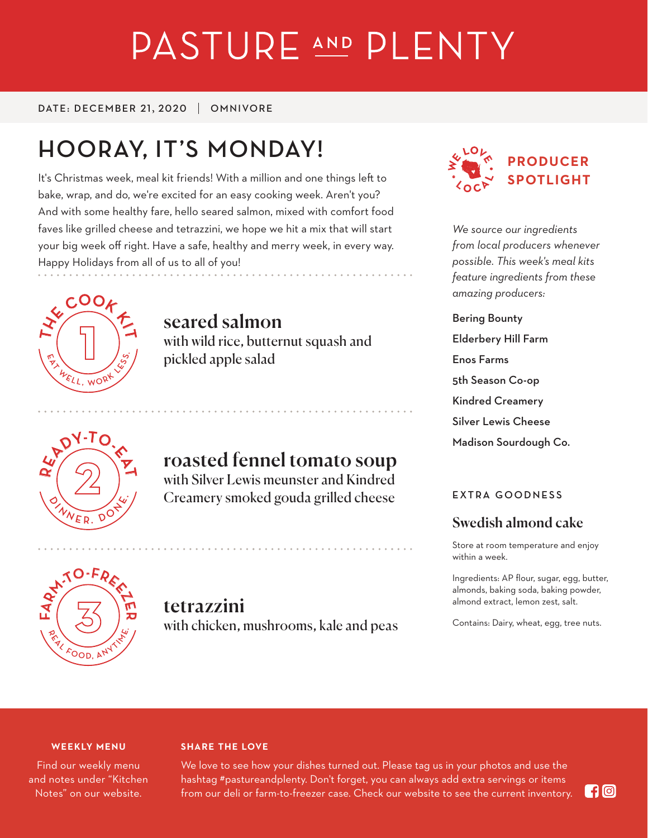# PASTURE AND PLENTY

DATE: DECEMBER 21, 2020 | OMNIVORE

# **HOORAY, IT'S MONDAY!**

It's Christmas week, meal kit friends! With a million and one things left to bake, wrap, and do, we're excited for an easy cooking week. Aren't you? And with some healthy fare, hello seared salmon, mixed with comfort food faves like grilled cheese and tetrazzini, we hope we hit a mix that will start your big week off right. Have a safe, healthy and merry week, in every way. Happy Holidays from all of us to all of you!



seared salmon with wild rice, butternut squash and pickled apple salad



# roasted fennel tomato soup

with Silver Lewis meunster and Kindred Creamery smoked gouda grilled cheese



*We source our ingredients from local producers whenever possible. This week's meal kits feature ingredients from these amazing producers:*

Bering Bounty Elderbery Hill Farm Enos Farms 5th Season Co-op Kindred Creamery Silver Lewis Cheese Madison Sourdough Co.

#### **EXTRA GOODNESS**

### Swedish almond cake

Store at room temperature and enjoy within a week.

Ingredients: AP flour, sugar, egg, butter, almonds, baking soda, baking powder, almond extract, lemon zest, salt.

Contains: Dairy, wheat, egg, tree nuts.



# tetrazzini

with chicken, mushrooms, kale and peas

#### **WEEKLY MENU**

Find our weekly menu and notes under "Kitchen Notes" on our website.

#### **SHARE THE LOVE**

We love to see how your dishes turned out. Please tag us in your photos and use the hashtag #pastureandplenty. Don't forget, you can always add extra servings or items from our deli or farm-to-freezer case. Check our website to see the current inventory.